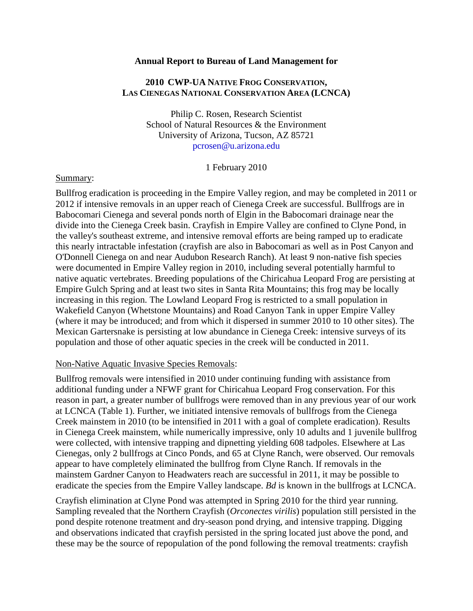#### **Annual Report to Bureau of Land Management for**

# **2010 CWP-UA NATIVE FROG CONSERVATION, LAS CIENEGAS NATIONAL CONSERVATION AREA (LCNCA)**

Philip C. Rosen, Research Scientist School of Natural Resources & the Environment University of Arizona, Tucson, AZ 85721 pcrosen@u.arizona.edu

1 February 2010

#### Summary:

Bullfrog eradication is proceeding in the Empire Valley region, and may be completed in 2011 or 2012 if intensive removals in an upper reach of Cienega Creek are successful. Bullfrogs are in Babocomari Cienega and several ponds north of Elgin in the Babocomari drainage near the divide into the Cienega Creek basin. Crayfish in Empire Valley are confined to Clyne Pond, in the valley's southeast extreme, and intensive removal efforts are being ramped up to eradicate this nearly intractable infestation (crayfish are also in Babocomari as well as in Post Canyon and O'Donnell Cienega on and near Audubon Research Ranch). At least 9 non-native fish species were documented in Empire Valley region in 2010, including several potentially harmful to native aquatic vertebrates. Breeding populations of the Chiricahua Leopard Frog are persisting at Empire Gulch Spring and at least two sites in Santa Rita Mountains; this frog may be locally increasing in this region. The Lowland Leopard Frog is restricted to a small population in Wakefield Canyon (Whetstone Mountains) and Road Canyon Tank in upper Empire Valley (where it may be introduced; and from which it dispersed in summer 2010 to 10 other sites). The Mexican Gartersnake is persisting at low abundance in Cienega Creek: intensive surveys of its population and those of other aquatic species in the creek will be conducted in 2011.

#### Non-Native Aquatic Invasive Species Removals:

Bullfrog removals were intensified in 2010 under continuing funding with assistance from additional funding under a NFWF grant for Chiricahua Leopard Frog conservation. For this reason in part, a greater number of bullfrogs were removed than in any previous year of our work at LCNCA (Table 1). Further, we initiated intensive removals of bullfrogs from the Cienega Creek mainstem in 2010 (to be intensified in 2011 with a goal of complete eradication). Results in Cienega Creek mainstem, while numerically impressive, only 10 adults and 1 juvenile bullfrog were collected, with intensive trapping and dipnetting yielding 608 tadpoles. Elsewhere at Las Cienegas, only 2 bullfrogs at Cinco Ponds, and 65 at Clyne Ranch, were observed. Our removals appear to have completely eliminated the bullfrog from Clyne Ranch. If removals in the mainstem Gardner Canyon to Headwaters reach are successful in 2011, it may be possible to eradicate the species from the Empire Valley landscape. *Bd* is known in the bullfrogs at LCNCA.

Crayfish elimination at Clyne Pond was attempted in Spring 2010 for the third year running. Sampling revealed that the Northern Crayfish (*Orconectes virilis*) population still persisted in the pond despite rotenone treatment and dry-season pond drying, and intensive trapping. Digging and observations indicated that crayfish persisted in the spring located just above the pond, and these may be the source of repopulation of the pond following the removal treatments: crayfish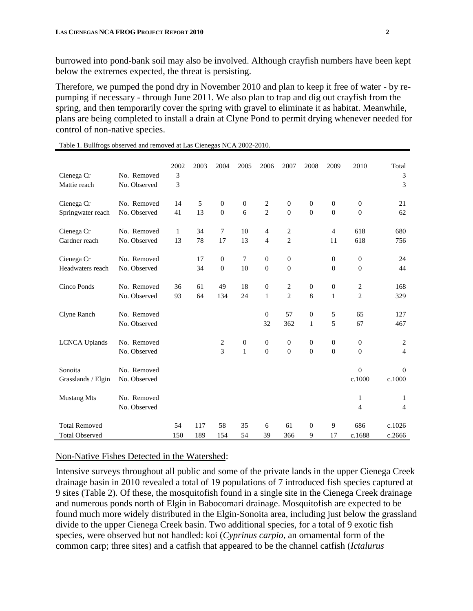burrowed into pond-bank soil may also be involved. Although crayfish numbers have been kept below the extremes expected, the threat is persisting.

Therefore, we pumped the pond dry in November 2010 and plan to keep it free of water - by repumping if necessary - through June 2011. We also plan to trap and dig out crayfish from the spring, and then temporarily cover the spring with gravel to eliminate it as habitat. Meanwhile, plans are being completed to install a drain at Clyne Pond to permit drying whenever needed for control of non-native species.

|                       |              | 2002 | 2003 | 2004           | 2005             | 2006             | 2007             | 2008         | 2009         | 2010             | Total          |
|-----------------------|--------------|------|------|----------------|------------------|------------------|------------------|--------------|--------------|------------------|----------------|
| Cienega Cr            | No. Removed  | 3    |      |                |                  |                  |                  |              |              |                  | 3              |
| Mattie reach          | No. Observed | 3    |      |                |                  |                  |                  |              |              |                  | 3              |
| Cienega Cr            | No. Removed  | 14   | 5    | $\Omega$       | $\boldsymbol{0}$ | 2                | $\mathbf{0}$     | $\mathbf{0}$ | $\theta$     | $\mathbf{0}$     | 21             |
| Springwater reach     | No. Observed | 41   | 13   | $\Omega$       | 6                | $\overline{2}$   | $\Omega$         | $\Omega$     | $\Omega$     | $\overline{0}$   | 62             |
| Cienega Cr            | No. Removed  | 1    | 34   | 7              | 10               | 4                | 2                |              | 4            | 618              | 680            |
| Gardner reach         | No. Observed | 13   | 78   | 17             | 13               | 4                | $\overline{c}$   |              | 11           | 618              | 756            |
| Cienega Cr            | No. Removed  |      | 17   | $\mathbf{0}$   | 7                | $\overline{0}$   | $\mathbf{0}$     |              | $\theta$     | $\theta$         | 24             |
| Headwaters reach      | No. Observed |      | 34   | $\mathbf{0}$   | 10               | $\boldsymbol{0}$ | $\boldsymbol{0}$ |              | $\mathbf{0}$ | $\mathbf{0}$     | 44             |
| Cinco Ponds           | No. Removed  | 36   | 61   | 49             | 18               | $\mathbf{0}$     | 2                | $\mathbf{0}$ | $\mathbf{0}$ | 2                | 168            |
|                       | No. Observed | 93   | 64   | 134            | 24               | $\mathbf{1}$     | $\overline{2}$   | 8            | $\mathbf{1}$ | $\overline{2}$   | 329            |
| Clyne Ranch           | No. Removed  |      |      |                |                  | $\boldsymbol{0}$ | 57               | $\mathbf{0}$ | 5            | 65               | 127            |
|                       | No. Observed |      |      |                |                  | 32               | 362              | $\mathbf{1}$ | 5            | 67               | 467            |
| <b>LCNCA Uplands</b>  | No. Removed  |      |      | 2              | $\boldsymbol{0}$ | $\mathbf{0}$     | $\mathbf{0}$     | $\mathbf{0}$ | $\mathbf{0}$ | $\mathbf{0}$     | 2              |
|                       | No. Observed |      |      | $\overline{3}$ | $\mathbf{1}$     | $\boldsymbol{0}$ | $\overline{0}$   | $\mathbf{0}$ | $\theta$     | $\boldsymbol{0}$ | $\overline{4}$ |
| Sonoita               | No. Removed  |      |      |                |                  |                  |                  |              |              | $\mathbf{0}$     | $\theta$       |
| Grasslands / Elgin    | No. Observed |      |      |                |                  |                  |                  |              |              | c.1000           | c.1000         |
| <b>Mustang Mts</b>    | No. Removed  |      |      |                |                  |                  |                  |              |              | 1                | 1              |
|                       | No. Observed |      |      |                |                  |                  |                  |              |              | $\overline{4}$   | $\overline{4}$ |
| <b>Total Removed</b>  |              | 54   | 117  | 58             | 35               | 6                | 61               | $\theta$     | 9            | 686              | c.1026         |
| <b>Total Observed</b> |              | 150  | 189  | 154            | 54               | 39               | 366              | 9            | 17           | c.1688           | c.2666         |

Table 1. Bullfrogs observed and removed at Las Cienegas NCA 2002-2010.

#### Non-Native Fishes Detected in the Watershed:

Intensive surveys throughout all public and some of the private lands in the upper Cienega Creek drainage basin in 2010 revealed a total of 19 populations of 7 introduced fish species captured at 9 sites (Table 2). Of these, the mosquitofish found in a single site in the Cienega Creek drainage and numerous ponds north of Elgin in Babocomari drainage. Mosquitofish are expected to be found much more widely distributed in the Elgin-Sonoita area, including just below the grassland divide to the upper Cienega Creek basin. Two additional species, for a total of 9 exotic fish species, were observed but not handled: koi (*Cyprinus carpio*, an ornamental form of the common carp; three sites) and a catfish that appeared to be the channel catfish (*Ictalurus*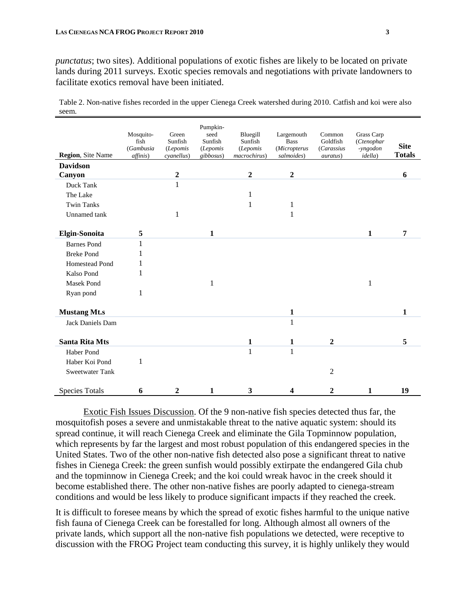*punctatus*; two sites). Additional populations of exotic fishes are likely to be located on private lands during 2011 surveys. Exotic species removals and negotiations with private landowners to facilitate exotics removal have been initiated.

Table 2. Non-native fishes recorded in the upper Cienega Creek watershed during 2010. Catfish and koi were also seem.

| <b>Region</b> , Site Name | Mosquito-<br>fish<br>(Gambusia<br>affinis) | Green<br>Sunfish<br>(Lepomis<br>cyanellus) | Pumpkin-<br>seed<br>Sunfish<br>(Lepomis<br>gibbosus) | Bluegill<br>Sunfish<br>(Lepomis<br>macrochirus) | Largemouth<br><b>Bass</b><br>(Micropterus<br>salmoides) | Common<br>Goldfish<br>(Carassius<br><i>auratus</i> ) | Grass Carp<br>(Ctenophar<br>-yngodon<br><i>idella</i> ) | <b>Site</b><br><b>Totals</b> |
|---------------------------|--------------------------------------------|--------------------------------------------|------------------------------------------------------|-------------------------------------------------|---------------------------------------------------------|------------------------------------------------------|---------------------------------------------------------|------------------------------|
| <b>Davidson</b>           |                                            |                                            |                                                      |                                                 |                                                         |                                                      |                                                         |                              |
| Canyon                    |                                            | $\boldsymbol{2}$                           |                                                      | $\boldsymbol{2}$                                | $\boldsymbol{2}$                                        |                                                      |                                                         | 6                            |
| Duck Tank                 |                                            | 1                                          |                                                      |                                                 |                                                         |                                                      |                                                         |                              |
| The Lake                  |                                            |                                            |                                                      | 1                                               |                                                         |                                                      |                                                         |                              |
| <b>Twin Tanks</b>         |                                            |                                            |                                                      | 1                                               | $\mathbf{1}$                                            |                                                      |                                                         |                              |
| Unnamed tank              |                                            | 1                                          |                                                      |                                                 | $\mathbf{1}$                                            |                                                      |                                                         |                              |
|                           |                                            |                                            |                                                      |                                                 |                                                         |                                                      |                                                         |                              |
| <b>Elgin-Sonoita</b>      | 5                                          |                                            | 1                                                    |                                                 |                                                         |                                                      | 1                                                       | 7                            |
| <b>Barnes Pond</b>        | 1                                          |                                            |                                                      |                                                 |                                                         |                                                      |                                                         |                              |
| <b>Breke Pond</b>         |                                            |                                            |                                                      |                                                 |                                                         |                                                      |                                                         |                              |
| Homestead Pond            | 1                                          |                                            |                                                      |                                                 |                                                         |                                                      |                                                         |                              |
| Kalso Pond                | 1                                          |                                            |                                                      |                                                 |                                                         |                                                      |                                                         |                              |
| <b>Masek Pond</b>         |                                            |                                            | 1                                                    |                                                 |                                                         |                                                      | 1                                                       |                              |
| Ryan pond                 | $\mathbf{1}$                               |                                            |                                                      |                                                 |                                                         |                                                      |                                                         |                              |
| <b>Mustang Mt.s</b>       |                                            |                                            |                                                      |                                                 | $\mathbf{1}$                                            |                                                      |                                                         | 1                            |
| Jack Daniels Dam          |                                            |                                            |                                                      |                                                 | $\mathbf{1}$                                            |                                                      |                                                         |                              |
|                           |                                            |                                            |                                                      |                                                 |                                                         |                                                      |                                                         |                              |
| <b>Santa Rita Mts</b>     |                                            |                                            |                                                      | $\mathbf{1}$                                    | $\mathbf{1}$                                            | $\boldsymbol{2}$                                     |                                                         | 5                            |
| <b>Haber Pond</b>         |                                            |                                            |                                                      | 1                                               | $\mathbf{1}$                                            |                                                      |                                                         |                              |
| Haber Koi Pond            | 1                                          |                                            |                                                      |                                                 |                                                         |                                                      |                                                         |                              |
| <b>Sweetwater Tank</b>    |                                            |                                            |                                                      |                                                 |                                                         | $\overline{2}$                                       |                                                         |                              |
| <b>Species Totals</b>     | 6                                          | $\overline{2}$                             | 1                                                    | 3                                               | 4                                                       | $\mathbf{2}$                                         | 1                                                       | 19                           |

Exotic Fish Issues Discussion. Of the 9 non-native fish species detected thus far, the mosquitofish poses a severe and unmistakable threat to the native aquatic system: should its spread continue, it will reach Cienega Creek and eliminate the Gila Topminnow population, which represents by far the largest and most robust population of this endangered species in the United States. Two of the other non-native fish detected also pose a significant threat to native fishes in Cienega Creek: the green sunfish would possibly extirpate the endangered Gila chub and the topminnow in Cienega Creek; and the koi could wreak havoc in the creek should it become established there. The other non-native fishes are poorly adapted to cienega-stream conditions and would be less likely to produce significant impacts if they reached the creek.

It is difficult to foresee means by which the spread of exotic fishes harmful to the unique native fish fauna of Cienega Creek can be forestalled for long. Although almost all owners of the private lands, which support all the non-native fish populations we detected, were receptive to discussion with the FROG Project team conducting this survey, it is highly unlikely they would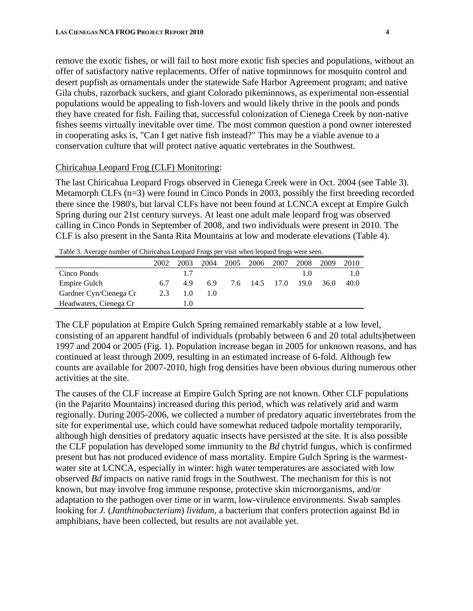remove the exotic fishes, or will fail to host more exotic fish species and populations, without an offer of satisfactory native replacements. Offer of native topminnows for mosquito control and desert pupfish as ornamentals under the statewide Safe Harbor Agreement program; and native Gila chubs, razorback suckers, and giant Colorado pikeminnows, as experimental non-essential populations would be appealing to fish-lovers and would likely thrive in the pools and ponds they have created for fish. Failing that, successful colonization of Cienega Creek by non-native fishes seems virtually inevitable over time. The most common question a pond owner interested in cooperating asks is, "Can I get native fish instead?" This may be a viable avenue to a conservation culture that will protect native aquatic vertebrates in the Southwest.

### Chiricahua Leopard Frog (CLF) Monitoring:

The last Chiricahua Leopard Frogs observed in Cienega Creek were in Oct. 2004 (see Table 3). Metamorph CLFs (n=3) were found in Cinco Ponds in 2003, possibly the first breeding recorded there since the 1980's, but larval CLFs have not been found at LCNCA except at Empire Gulch Spring during our 21st century surveys. At least one adult male leopard frog was observed calling in Cinco Ponds in September of 2008, and two individuals were present in 2010. The CLF is also present in the Santa Rita Mountains at low and moderate elevations (Table 4).

|                        | 2002 | 2003 | 2004 | 2005 | 2006      | 2007 | 2008 | 2009 | 2010 |
|------------------------|------|------|------|------|-----------|------|------|------|------|
| Cinco Ponds            |      | 1.7  |      |      |           |      | 1.0  |      |      |
| Empire Gulch           | 6.7  | 49   | 6.9  | 7.6  | 14.5 17.0 |      | 19.0 | 36.0 | 40.0 |
| Gardner Cyn/Cienega Cr | 2.3  | 1.0  | 10   |      |           |      |      |      |      |
| Headwaters, Cienega Cr |      | l.O  |      |      |           |      |      |      |      |

Table 3. Average number of Chiricahua Leopard Frogs per visit when leopard frogs were seen.

The CLF population at Empire Gulch Spring remained remarkably stable at a low level, consisting of an apparent handful of individuals (probably between 6 and 20 total adults)between 1997 and 2004 or 2005 (Fig. 1). Population increase began in 2005 for unknown reasons, and has continued at least through 2009, resulting in an estimated increase of 6-fold. Although few counts are available for 2007-2010, high frog densities have been obvious during numerous other activities at the site.

The causes of the CLF increase at Empire Gulch Spring are not known. Other CLF populations (in the Pajarito Mountains) increased during this period, which was relatively arid and warm regionally. During 2005-2006, we collected a number of predatory aquatic invertebrates from the site for experimental use, which could have somewhat reduced tadpole mortality temporarily, although high densities of predatory aquatic insects have persisted at the site. It is also possible the CLF population has developed some immunity to the *Bd* chytrid fungus, which is confirmed present but has not produced evidence of mass mortality. Empire Gulch Spring is the warmestwater site at LCNCA, especially in winter: high water temperatures are associated with low observed *Bd* impacts on native ranid frogs in the Southwest. The mechanism for this is not known, but may involve frog immune response, protective skin microorganisms, and/or adaptation to the pathogen over time or in warm, low-virulence environments. Swab samples looking for *J.* (*Janthinobacterium*) *lividum*, a bacterium that confers protection against Bd in amphibians, have been collected, but results are not available yet.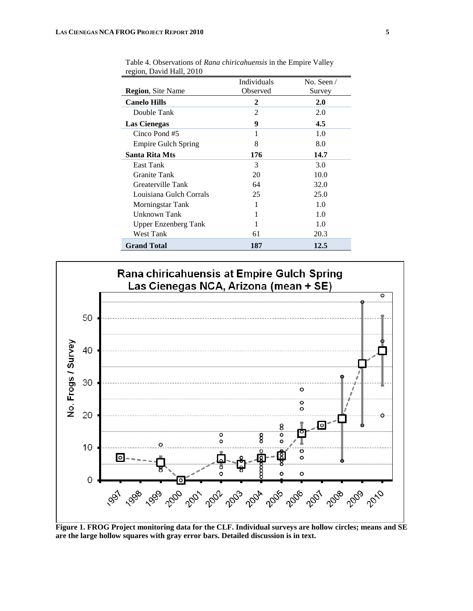|                            | Individuals    | No. Seen $/$ |
|----------------------------|----------------|--------------|
| <b>Region, Site Name</b>   | Observed       | Survey       |
| <b>Canelo Hills</b>        | 2              | 2.0          |
| Double Tank                | $\mathfrak{D}$ | 2.0          |
| Las Cienegas               | 9              | 4.5          |
| Cinco Pond #5              | 1              | 1.0          |
| <b>Empire Gulch Spring</b> | 8              | 8.0          |
| Santa Rita Mts             | 176            | 14.7         |
| East Tank                  | 3              | 3.0          |
| <b>Granite Tank</b>        | 20             | 10.0         |
| Greaterville Tank          | 64             | 32.0         |
| Louisiana Gulch Corrals    | 25             | 25.0         |
| Morningstar Tank           | 1              | 1.0          |
| Unknown Tank               |                | 1.0          |
| Upper Enzenberg Tank       |                | 1.0          |
| West Tank                  | 61             | 20.3         |
| <b>Grand Total</b>         | 187            | 12.5         |

Table 4. Observations of *Rana chiricahuensis* in the Empire Valley region, David Hall, 2010



**Figure 1. FROG Project monitoring data for the CLF. Individual surveys are hollow circles; means and SE are the large hollow squares with gray error bars. Detailed discussion is in text.**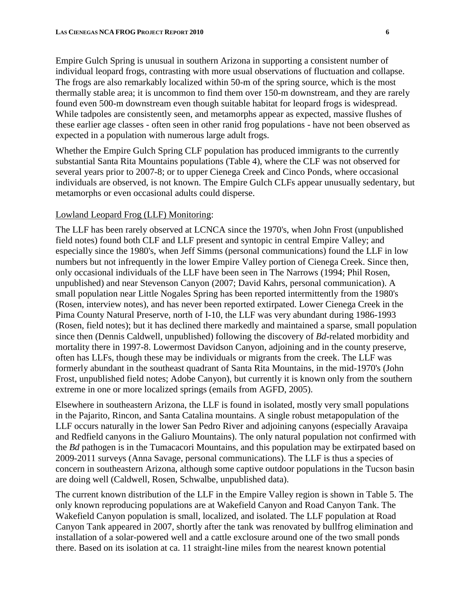Empire Gulch Spring is unusual in southern Arizona in supporting a consistent number of individual leopard frogs, contrasting with more usual observations of fluctuation and collapse. The frogs are also remarkably localized within 50-m of the spring source, which is the most thermally stable area; it is uncommon to find them over 150-m downstream, and they are rarely found even 500-m downstream even though suitable habitat for leopard frogs is widespread. While tadpoles are consistently seen, and metamorphs appear as expected, massive flushes of these earlier age classes - often seen in other ranid frog populations - have not been observed as expected in a population with numerous large adult frogs.

Whether the Empire Gulch Spring CLF population has produced immigrants to the currently substantial Santa Rita Mountains populations (Table 4), where the CLF was not observed for several years prior to 2007-8; or to upper Cienega Creek and Cinco Ponds, where occasional individuals are observed, is not known. The Empire Gulch CLFs appear unusually sedentary, but metamorphs or even occasional adults could disperse.

# Lowland Leopard Frog (LLF) Monitoring:

The LLF has been rarely observed at LCNCA since the 1970's, when John Frost (unpublished field notes) found both CLF and LLF present and syntopic in central Empire Valley; and especially since the 1980's, when Jeff Simms (personal communications) found the LLF in low numbers but not infrequently in the lower Empire Valley portion of Cienega Creek. Since then, only occasional individuals of the LLF have been seen in The Narrows (1994; Phil Rosen, unpublished) and near Stevenson Canyon (2007; David Kahrs, personal communication). A small population near Little Nogales Spring has been reported intermittently from the 1980's (Rosen, interview notes), and has never been reported extirpated. Lower Cienega Creek in the Pima County Natural Preserve, north of I-10, the LLF was very abundant during 1986-1993 (Rosen, field notes); but it has declined there markedly and maintained a sparse, small population since then (Dennis Caldwell, unpublished) following the discovery of *Bd*-related morbidity and mortality there in 1997-8. Lowermost Davidson Canyon, adjoining and in the county preserve, often has LLFs, though these may be individuals or migrants from the creek. The LLF was formerly abundant in the southeast quadrant of Santa Rita Mountains, in the mid-1970's (John Frost, unpublished field notes; Adobe Canyon), but currently it is known only from the southern extreme in one or more localized springs (emails from AGFD, 2005).

Elsewhere in southeastern Arizona, the LLF is found in isolated, mostly very small populations in the Pajarito, Rincon, and Santa Catalina mountains. A single robust metapopulation of the LLF occurs naturally in the lower San Pedro River and adjoining canyons (especially Aravaipa and Redfield canyons in the Galiuro Mountains). The only natural population not confirmed with the *Bd* pathogen is in the Tumacacori Mountains, and this population may be extirpated based on 2009-2011 surveys (Anna Savage, personal communications). The LLF is thus a species of concern in southeastern Arizona, although some captive outdoor populations in the Tucson basin are doing well (Caldwell, Rosen, Schwalbe, unpublished data).

The current known distribution of the LLF in the Empire Valley region is shown in Table 5. The only known reproducing populations are at Wakefield Canyon and Road Canyon Tank. The Wakefield Canyon population is small, localized, and isolated. The LLF population at Road Canyon Tank appeared in 2007, shortly after the tank was renovated by bullfrog elimination and installation of a solar-powered well and a cattle exclosure around one of the two small ponds there. Based on its isolation at ca. 11 straight-line miles from the nearest known potential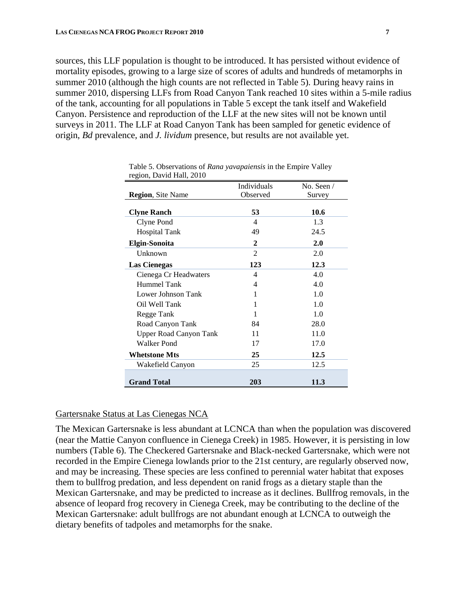sources, this LLF population is thought to be introduced. It has persisted without evidence of mortality episodes, growing to a large size of scores of adults and hundreds of metamorphs in summer 2010 (although the high counts are not reflected in Table 5). During heavy rains in summer 2010, dispersing LLFs from Road Canyon Tank reached 10 sites within a 5-mile radius of the tank, accounting for all populations in Table 5 except the tank itself and Wakefield Canyon. Persistence and reproduction of the LLF at the new sites will not be known until surveys in 2011. The LLF at Road Canyon Tank has been sampled for genetic evidence of origin, *Bd* prevalence, and *J. lividum* presence, but results are not available yet.

|                          | <b>Individuals</b>       | No. Seen $\ell$ |
|--------------------------|--------------------------|-----------------|
| <b>Region, Site Name</b> | Observed                 | Survey          |
|                          |                          |                 |
| <b>Clyne Ranch</b>       | 53                       | 10.6            |
| Clyne Pond               | 4                        | 1.3             |
| <b>Hospital Tank</b>     | 49                       | 24.5            |
| <b>Elgin-Sonoita</b>     | $\mathbf{2}$             | 2.0             |
| Unknown                  | $\mathfrak{D}$           | 2.0             |
| <b>Las Cienegas</b>      | 123                      | 12.3            |
| Cienega Cr Headwaters    | $\overline{\mathcal{A}}$ | 4.0             |
| Hummel Tank              | 4                        | 4.0             |
| Lower Johnson Tank       | 1                        | 1.0             |
| Oil Well Tank            |                          | 1.0             |
| Regge Tank               | 1                        | 1.0             |
| Road Canyon Tank         | 84                       | 28.0            |
| Upper Road Canyon Tank   | 11                       | 11.0            |
| Walker Pond              | 17                       | 17.0            |
| Whetstone Mts            | 25                       | 12.5            |
| Wakefield Canyon         | 25                       | 12.5            |
|                          |                          |                 |
| <b>Grand Total</b>       | 203                      | 11.3            |

| Table 5. Observations of Rana yavapaiensis in the Empire Valley |  |
|-----------------------------------------------------------------|--|
| region, David Hall, 2010                                        |  |

# Gartersnake Status at Las Cienegas NCA

The Mexican Gartersnake is less abundant at LCNCA than when the population was discovered (near the Mattie Canyon confluence in Cienega Creek) in 1985. However, it is persisting in low numbers (Table 6). The Checkered Gartersnake and Black-necked Gartersnake, which were not recorded in the Empire Cienega lowlands prior to the 21st century, are regularly observed now, and may be increasing. These species are less confined to perennial water habitat that exposes them to bullfrog predation, and less dependent on ranid frogs as a dietary staple than the Mexican Gartersnake, and may be predicted to increase as it declines. Bullfrog removals, in the absence of leopard frog recovery in Cienega Creek, may be contributing to the decline of the Mexican Gartersnake: adult bullfrogs are not abundant enough at LCNCA to outweigh the dietary benefits of tadpoles and metamorphs for the snake.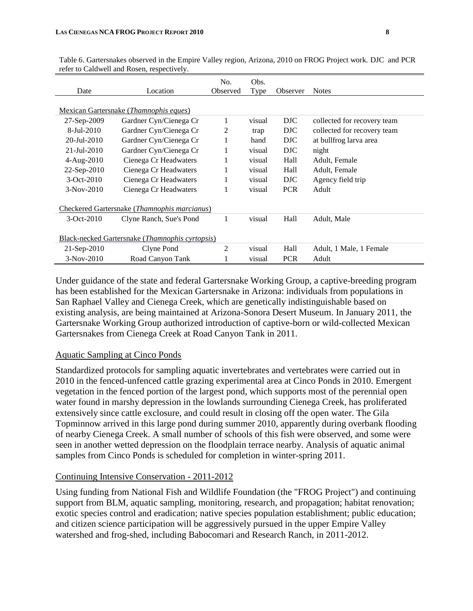| Date                       | Location                                                 | No.<br>Observed | Obs.<br>Type | Observer   | <b>Notes</b>                |
|----------------------------|----------------------------------------------------------|-----------------|--------------|------------|-----------------------------|
|                            | Mexican Gartersnake (Thamnophis eques)                   |                 |              |            |                             |
| 27-Sep-2009                | Gardner Cyn/Cienega Cr                                   | 1               | visual       | DJC        | collected for recovery team |
| $8-Jul-2010$               | Gardner Cyn/Cienega Cr                                   | 2               | trap         | DJC        | collected for recovery team |
| $20 - \frac{J}{11} - 2010$ | Gardner Cyn/Cienega Cr                                   | 1               | hand         | DJC        | at bullfrog larva area      |
| 21-Jul-2010                | Gardner Cyn/Cienega Cr                                   | 1               | visual       | DJC        | night                       |
| $4 - Aug-2010$             | Cienega Cr Headwaters                                    | 1               | visual       | Hall       | Adult, Female               |
| 22-Sep-2010                | Cienega Cr Headwaters                                    | 1               | visual       | Hall       | Adult, Female               |
| $3-Oct-2010$               | Cienega Cr Headwaters                                    | 1               | visual       | DJC        | Agency field trip           |
| $3-Nov-2010$               | Cienega Cr Headwaters                                    |                 | visual       | <b>PCR</b> | Adult                       |
|                            | Checkered Gartersnake ( <i>Thamnophis marcianus</i> )    |                 |              |            |                             |
| $3-Oct-2010$               | Clyne Ranch, Sue's Pond                                  | 1               | visual       | Hall       | Adult, Male                 |
|                            | Black-necked Gartersnake ( <i>Thamnophis cyrtopsis</i> ) |                 |              |            |                             |
| $21-Sep-2010$              | Clyne Pond                                               | 2               | visual       | Hall       | Adult, 1 Male, 1 Female     |
| $3-Nov-2010$               | Road Canyon Tank                                         |                 | visual       | <b>PCR</b> | Adult                       |

Table 6. Gartersnakes observed in the Empire Valley region, Arizona, 2010 on FROG Project work. DJC and PCR refer to Caldwell and Rosen, respectively.

Under guidance of the state and federal Gartersnake Working Group, a captive-breeding program has been established for the Mexican Gartersnake in Arizona: individuals from populations in San Raphael Valley and Cienega Creek, which are genetically indistinguishable based on existing analysis, are being maintained at Arizona-Sonora Desert Museum. In January 2011, the Gartersnake Working Group authorized introduction of captive-born or wild-collected Mexican Gartersnakes from Cienega Creek at Road Canyon Tank in 2011.

# Aquatic Sampling at Cinco Ponds

Standardized protocols for sampling aquatic invertebrates and vertebrates were carried out in 2010 in the fenced-unfenced cattle grazing experimental area at Cinco Ponds in 2010. Emergent vegetation in the fenced portion of the largest pond, which supports most of the perennial open water found in marshy depression in the lowlands surrounding Cienega Creek, has proliferated extensively since cattle exclosure, and could result in closing off the open water. The Gila Topminnow arrived in this large pond during summer 2010, apparently during overbank flooding of nearby Cienega Creek. A small number of schools of this fish were observed, and some were seen in another wetted depression on the floodplain terrace nearby. Analysis of aquatic animal samples from Cinco Ponds is scheduled for completion in winter-spring 2011.

# Continuing Intensive Conservation - 2011-2012

Using funding from National Fish and Wildlife Foundation (the "FROG Project") and continuing support from BLM, aquatic sampling, monitoring, research, and propagation; habitat renovation; exotic species control and eradication; native species population establishment; public education; and citizen science participation will be aggressively pursued in the upper Empire Valley watershed and frog-shed, including Babocomari and Research Ranch, in 2011-2012.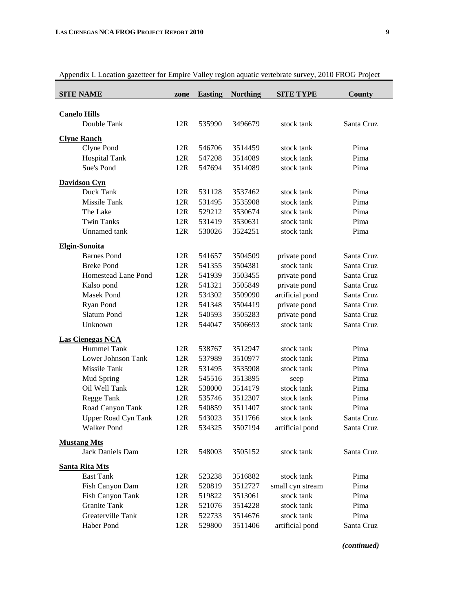| <b>SITE NAME</b>           | zone | <b>Easting</b> | <b>Northing</b> | <b>SITE TYPE</b> | County     |
|----------------------------|------|----------------|-----------------|------------------|------------|
|                            |      |                |                 |                  |            |
| <b>Canelo Hills</b>        |      |                |                 |                  |            |
| Double Tank                | 12R  | 535990         | 3496679         | stock tank       | Santa Cruz |
| <b>Clyne Ranch</b>         |      |                |                 |                  |            |
| Clyne Pond                 | 12R  | 546706         | 3514459         | stock tank       | Pima       |
| <b>Hospital Tank</b>       | 12R  | 547208         | 3514089         | stock tank       | Pima       |
| Sue's Pond                 | 12R  | 547694         | 3514089         | stock tank       | Pima       |
| <b>Davidson Cyn</b>        |      |                |                 |                  |            |
| Duck Tank                  | 12R  | 531128         | 3537462         | stock tank       | Pima       |
| Missile Tank               | 12R  | 531495         | 3535908         | stock tank       | Pima       |
| The Lake                   | 12R  | 529212         | 3530674         | stock tank       | Pima       |
| <b>Twin Tanks</b>          | 12R  | 531419         | 3530631         | stock tank       | Pima       |
| Unnamed tank               | 12R  | 530026         | 3524251         | stock tank       | Pima       |
| <b>Elgin-Sonoita</b>       |      |                |                 |                  |            |
| <b>Barnes Pond</b>         | 12R  | 541657         | 3504509         | private pond     | Santa Cruz |
| <b>Breke Pond</b>          | 12R  | 541355         | 3504381         | stock tank       | Santa Cruz |
| Homestead Lane Pond        | 12R  | 541939         | 3503455         | private pond     | Santa Cruz |
| Kalso pond                 | 12R  | 541321         | 3505849         | private pond     | Santa Cruz |
| <b>Masek Pond</b>          | 12R  | 534302         | 3509090         | artificial pond  | Santa Cruz |
| Ryan Pond                  | 12R  | 541348         | 3504419         | private pond     | Santa Cruz |
| Slatum Pond                | 12R  | 540593         | 3505283         | private pond     | Santa Cruz |
| Unknown                    | 12R  | 544047         | 3506693         | stock tank       | Santa Cruz |
| <b>Las Cienegas NCA</b>    |      |                |                 |                  |            |
| Hummel Tank                | 12R  | 538767         | 3512947         | stock tank       | Pima       |
| Lower Johnson Tank         | 12R  | 537989         | 3510977         | stock tank       | Pima       |
| Missile Tank               | 12R  | 531495         | 3535908         | stock tank       | Pima       |
| Mud Spring                 | 12R  | 545516         | 3513895         | seep             | Pima       |
| Oil Well Tank              | 12R  | 538000         | 3514179         | stock tank       | Pima       |
| Regge Tank                 | 12R  | 535746         | 3512307         | stock tank       | Pima       |
| Road Canyon Tank           | 12R  | 540859         | 3511407         | stock tank       | Pima       |
| <b>Upper Road Cyn Tank</b> | 12R  | 543023         | 3511766         | stock tank       | Santa Cruz |
| <b>Walker Pond</b>         | 12R  | 534325         | 3507194         | artificial pond  | Santa Cruz |
| <b>Mustang Mts</b>         |      |                |                 |                  |            |
| Jack Daniels Dam           | 12R  | 548003         | 3505152         | stock tank       | Santa Cruz |
| <b>Santa Rita Mts</b>      |      |                |                 |                  |            |
| East Tank                  | 12R  | 523238         | 3516882         | stock tank       | Pima       |
| Fish Canyon Dam            | 12R  | 520819         | 3512727         | small cyn stream | Pima       |
| Fish Canyon Tank           | 12R  | 519822         | 3513061         | stock tank       | Pima       |
| <b>Granite Tank</b>        | 12R  | 521076         | 3514228         | stock tank       | Pima       |
| Greaterville Tank          | 12R  | 522733         | 3514676         | stock tank       | Pima       |
| Haber Pond                 | 12R  | 529800         | 3511406         | artificial pond  | Santa Cruz |

Appendix I. Location gazetteer for Empire Valley region aquatic vertebrate survey, 2010 FROG Project

*(continued)*